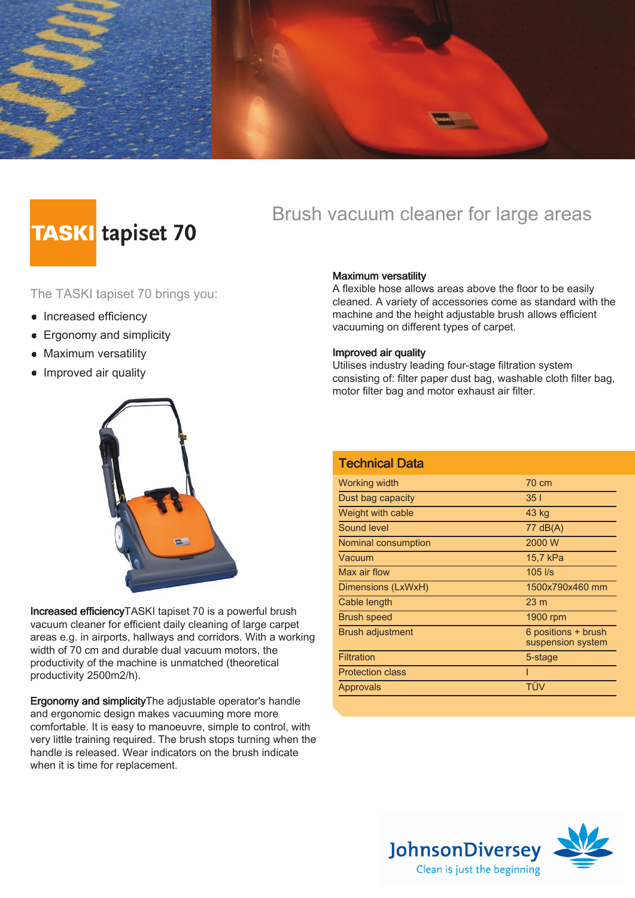

# **TASKI** tapiset 70

### Brush vacuum cleaner for large areas

The TASKI tapiset 70 brings you:

- Increased efficiency
- **E**rgonomy and simplicity
- Maximum versatility
- Improved air quality



Increased efficiencyTASKI tapiset 70 is a powerful brush vacuum cleaner for efficient daily cleaning of large carpet areas e.g. in airports, hallways and corridors. With a working width of 70 cm and durable dual vacuum motors, the productivity of the machine is unmatched (theoretical productivity 2500m2/h).

Ergonomy and simplicityThe adjustable operator's handle and ergonomic design makes vacuuming more more comfortable. It is easy to manoeuvre, simple to control, with very little training required. The brush stops turning when the handle is released. Wear indicators on the brush indicate when it is time for replacement.

### Maximum versatility

A flexible hose allows areas above the floor to be easily cleaned. A variety of accessories come as standard with the machine and the height adjustable brush allows efficient vacuuming on different types of carpet.

#### Improved air quality

Utilises industry leading four-stage filtration system consisting of: filter paper dust bag, washable cloth filter bag, motor filter bag and motor exhaust air filter.

| <b>Technical Data</b>   |                                          |
|-------------------------|------------------------------------------|
| Working width           | 70 cm                                    |
| Dust bag capacity       | 351                                      |
| Weight with cable       | 43 kg                                    |
| Sound level             | 77 dB(A)                                 |
| Nominal consumption     | 2000 W                                   |
| Vacuum                  | 15,7 kPa                                 |
| Max air flow            | $105$ $\text{I/s}$                       |
| Dimensions (LxWxH)      | 1500x790x460 mm                          |
| Cable length            | 23 <sub>m</sub>                          |
| <b>Brush speed</b>      | 1900 rpm                                 |
| <b>Brush adjustment</b> | 6 positions + brush<br>suspension system |
| <b>Filtration</b>       | 5-stage                                  |
| <b>Protection class</b> | ı                                        |
| Approvals               | TÜV                                      |
|                         |                                          |